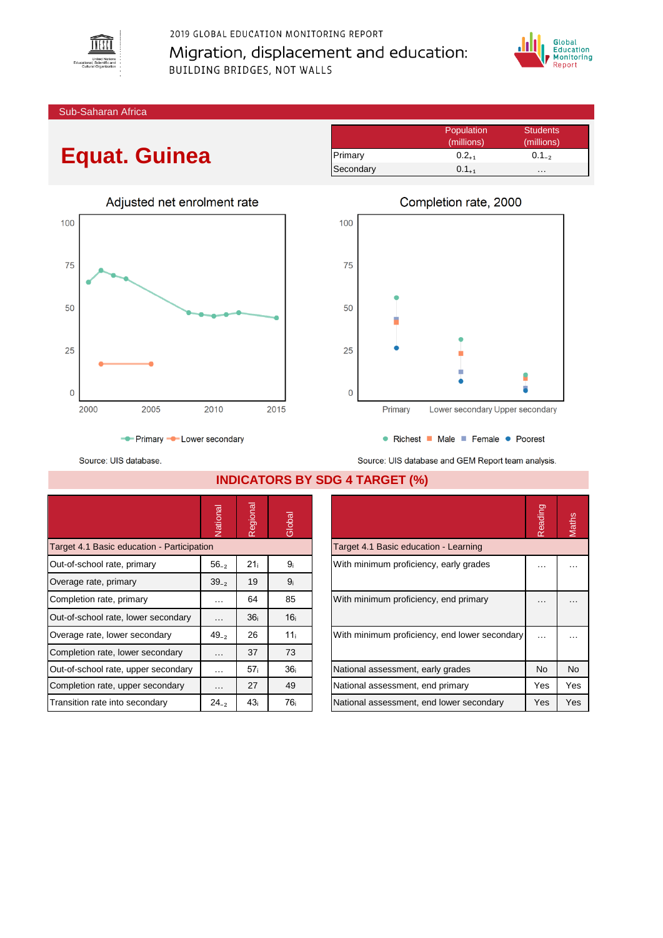

2019 GLOBAL EDUCATION MONITORING REPORT Migration, displacement and education: BUILDING BRIDGES, NOT WALLS



Sub-Saharan Africa

## **Equat. Guinea**

|           | Population | Students   |
|-----------|------------|------------|
|           | (millions) | (millions) |
| Primary   | $0.2_{+1}$ | $0.1_{-2}$ |
| Secondary | $0.1_{+1}$ | .          |





● Richest ■ Male ■ Female ● Poorest Source: UIS database and GEM Report team analysis.

Source: UIS database.

**INDICATORS BY SDG 4 TARGET (%)**

|                                                                               | Vational  | legional<br>$\tilde{r}$                | Global          |  |                                               | Reading | Maths     |
|-------------------------------------------------------------------------------|-----------|----------------------------------------|-----------------|--|-----------------------------------------------|---------|-----------|
| Target 4.1 Basic education - Participation                                    |           |                                        |                 |  | Target 4.1 Basic education - Learning         |         |           |
| 21 <sub>i</sub><br>Out-of-school rate, primary<br>$56_{-2}$<br>9 <sub>i</sub> |           | With minimum proficiency, early grades | $\cdots$        |  |                                               |         |           |
| Overage rate, primary                                                         | $39_{-2}$ | 19                                     | 9 <sub>i</sub>  |  |                                               |         |           |
| Completion rate, primary                                                      | $\cdots$  | 64                                     | 85              |  | With minimum proficiency, end primary         |         |           |
| Out-of-school rate, lower secondary                                           | $\cdots$  | 36 <sub>i</sub>                        | 16 <sub>i</sub> |  |                                               |         |           |
| Overage rate, lower secondary                                                 | $49_{-2}$ | 26                                     | 11 <sub>i</sub> |  | With minimum proficiency, end lower secondary |         | $\cdots$  |
| Completion rate, lower secondary                                              | $\cdots$  | 37                                     | 73              |  |                                               |         |           |
| Out-of-school rate, upper secondary                                           | $\cdots$  | 57 <sub>i</sub>                        | 36 <sub>i</sub> |  | National assessment, early grades             | No.     | <b>No</b> |
| Completion rate, upper secondary                                              | $\cdots$  | 27                                     | 49              |  | National assessment, end primary              | Yes     | Yes       |
| Transition rate into secondary                                                | $24_{-2}$ | 43 <sub>i</sub>                        | 76 <sub>i</sub> |  | National assessment, end lower secondary      | Yes     | Yes       |

|                                               | Reading   | laths     |
|-----------------------------------------------|-----------|-----------|
| Target 4.1 Basic education - Learning         |           |           |
| With minimum proficiency, early grades        |           |           |
| With minimum proficiency, end primary         |           |           |
| With minimum proficiency, end lower secondary |           |           |
| National assessment, early grades             | <b>No</b> | <b>No</b> |
| National assessment, end primary              | Yes       | Yes       |
| National assessment, end lower secondary      | Yes       | Yes       |